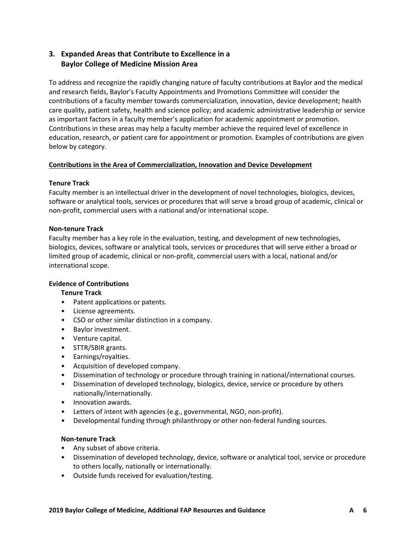# **3. Expanded Areas that Contribute to Excellence in a Baylor College of Medicine Mission Area**

To address and recognize the rapidly changing nature of faculty contributions at Baylor and the medical and research fields, Baylor's Faculty Appointments and Promotions Committee will consider the contributions of a faculty member towards commercialization, innovation, device development; health care quality, patient safety, health and science policy; and academic administrative leadership or service as important factors in a faculty member's application for academic appointment or promotion. Contributions in these areas may help a faculty member achieve the required level of excellence in education, research, or patient care for appointment or promotion. Examples of contributions are given below by category.

#### **Contributions in the Area of Commercialization, Innovation and Device Development**

#### **Tenure Track**

Faculty member is an intellectual driver in the development of novel technologies, biologics, devices, software or analytical tools, services or procedures that will serve a broad group of academic, clinical or non-profit, commercial users with a national and/or international scope.

# **Non-tenure Track**

Faculty member has a key role in the evaluation, testing, and development of new technologies, biologics, devices, software or analytical tools, services or procedures that will serve either a broad or limited group of academic, clinical or non-profit, commercial users with a local, national and/or international scope.

# **Evidence of Contributions**

# **Tenure Track**

- Patent applications or patents.
- License agreements.
- CSO or other similar distinction in a company.
- Baylor investment.
- Venture capital.
- STTR/SBIR grants.
- Earnings/royalties.
- Acquisition of developed company.
- Dissemination of technology or procedure through training in national/international courses.
- Dissemination of developed technology, biologics, device, service or procedure by others nationally/internationally.
- Innovation awards.
- Letters of intent with agencies (e.g., governmental, NGO, non-profit).
- Developmental funding through philanthropy or other non-federal funding sources.

#### **Non-tenure Track**

- Any subset of above criteria.
- Dissemination of developed technology, device, software or analytical tool, service or procedure to others locally, nationally or internationally.
- Outside funds received for evaluation/testing.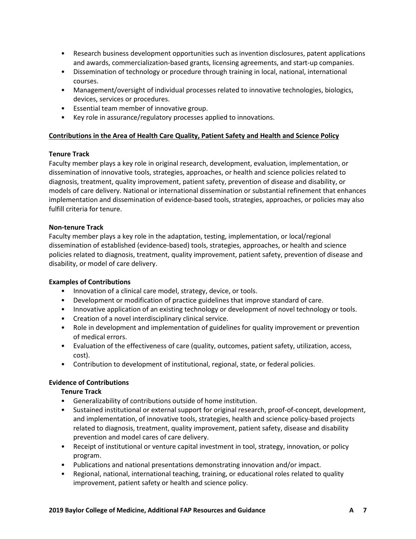- Research business development opportunities such as invention disclosures, patent applications and awards, commercialization-based grants, licensing agreements, and start-up companies.
- Dissemination of technology or procedure through training in local, national, international courses.
- Management/oversight of individual processes related to innovative technologies, biologics, devices, services or procedures.
- Essential team member of innovative group.
- Key role in assurance/regulatory processes applied to innovations.

#### **Contributions in the Area of Health Care Quality, Patient Safety and Health and Science Policy**

#### **Tenure Track**

Faculty member plays a key role in original research, development, evaluation, implementation, or dissemination of innovative tools, strategies, approaches, or health and science policies related to diagnosis, treatment, quality improvement, patient safety, prevention of disease and disability, or models of care delivery. National or international dissemination or substantial refinement that enhances implementation and dissemination of evidence-based tools, strategies, approaches, or policies may also fulfill criteria for tenure.

#### **Non-tenure Track**

Faculty member plays a key role in the adaptation, testing, implementation, or local/regional dissemination of established (evidence-based) tools, strategies, approaches, or health and science policies related to diagnosis, treatment, quality improvement, patient safety, prevention of disease and disability, or model of care delivery.

#### **Examples of Contributions**

- Innovation of a clinical care model, strategy, device, or tools.
- Development or modification of practice guidelines that improve standard of care.
- Innovative application of an existing technology or development of novel technology or tools.
- Creation of a novel interdisciplinary clinical service.
- Role in development and implementation of guidelines for quality improvement or prevention of medical errors.
- Evaluation of the effectiveness of care (quality, outcomes, patient safety, utilization, access, cost).
- Contribution to development of institutional, regional, state, or federal policies.

#### **Evidence of Contributions**

#### **Tenure Track**

- Generalizability of contributions outside of home institution.
- Sustained institutional or external support for original research, proof-of-concept, development, and implementation, of innovative tools, strategies, health and science policy-based projects related to diagnosis, treatment, quality improvement, patient safety, disease and disability prevention and model cares of care delivery.
- Receipt of institutional or venture capital investment in tool, strategy, innovation, or policy program.
- Publications and national presentations demonstrating innovation and/or impact.
- Regional, national, international teaching, training, or educational roles related to quality improvement, patient safety or health and science policy.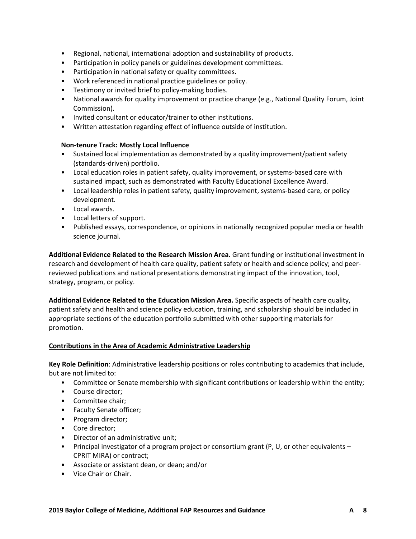- Regional, national, international adoption and sustainability of products.
- Participation in policy panels or guidelines development committees.
- Participation in national safety or quality committees.
- Work referenced in national practice guidelines or policy.
- Testimony or invited brief to policy-making bodies.
- National awards for quality improvement or practice change (e.g., National Quality Forum, Joint Commission).
- Invited consultant or educator/trainer to other institutions.
- Written attestation regarding effect of influence outside of institution.

#### **Non-tenure Track: Mostly Local Influence**

- Sustained local implementation as demonstrated by a quality improvement/patient safety (standards-driven) portfolio.
- Local education roles in patient safety, quality improvement, or systems-based care with sustained impact, such as demonstrated with Faculty Educational Excellence Award.
- Local leadership roles in patient safety, quality improvement, systems-based care, or policy development.
- Local awards.
- Local letters of support.
- Published essays, correspondence, or opinions in nationally recognized popular media or health science journal.

**Additional Evidence Related to the Research Mission Area.** Grant funding or institutional investment in research and development of health care quality, patient safety or health and science policy; and peerreviewed publications and national presentations demonstrating impact of the innovation, tool, strategy, program, or policy.

**Additional Evidence Related to the Education Mission Area.** Specific aspects of health care quality, patient safety and health and science policy education, training, and scholarship should be included in appropriate sections of the education portfolio submitted with other supporting materials for promotion.

#### **Contributions in the Area of Academic Administrative Leadership**

**Key Role Definition**: Administrative leadership positions or roles contributing to academics that include, but are not limited to:

- Committee or Senate membership with significant contributions or leadership within the entity;
- Course director;
- Committee chair;
- Faculty Senate officer;
- Program director;
- Core director;
- Director of an administrative unit;
- Principal investigator of a program project or consortium grant (P, U, or other equivalents CPRIT MIRA) or contract;
- Associate or assistant dean, or dean; and/or
- Vice Chair or Chair.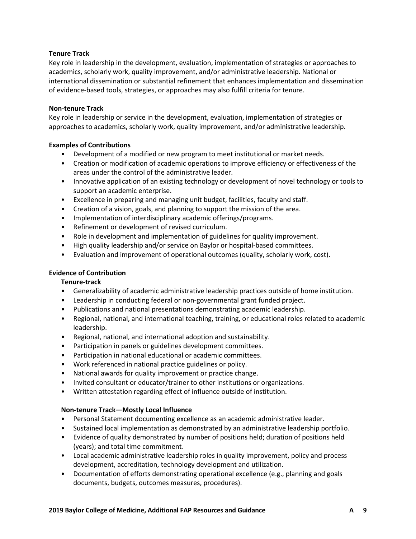#### **Tenure Track**

Key role in leadership in the development, evaluation, implementation of strategies or approaches to academics, scholarly work, quality improvement, and/or administrative leadership. National or international dissemination or substantial refinement that enhances implementation and dissemination of evidence-based tools, strategies, or approaches may also fulfill criteria for tenure.

# **Non-tenure Track**

Key role in leadership or service in the development, evaluation, implementation of strategies or approaches to academics, scholarly work, quality improvement, and/or administrative leadership.

# **Examples of Contributions**

- Development of a modified or new program to meet institutional or market needs.
- Creation or modification of academic operations to improve efficiency or effectiveness of the areas under the control of the administrative leader.
- Innovative application of an existing technology or development of novel technology or tools to support an academic enterprise.
- Excellence in preparing and managing unit budget, facilities, faculty and staff.
- Creation of a vision, goals, and planning to support the mission of the area.
- Implementation of interdisciplinary academic offerings/programs.
- Refinement or development of revised curriculum.
- Role in development and implementation of guidelines for quality improvement.
- High quality leadership and/or service on Baylor or hospital-based committees.
- Evaluation and improvement of operational outcomes (quality, scholarly work, cost).

### **Evidence of Contribution**

#### **Tenure-track**

- Generalizability of academic administrative leadership practices outside of home institution.
- Leadership in conducting federal or non-governmental grant funded project.
- Publications and national presentations demonstrating academic leadership.
- Regional, national, and international teaching, training, or educational roles related to academic leadership.
- Regional, national, and international adoption and sustainability.
- Participation in panels or guidelines development committees.
- Participation in national educational or academic committees.
- Work referenced in national practice guidelines or policy.
- National awards for quality improvement or practice change.
- Invited consultant or educator/trainer to other institutions or organizations.
- Written attestation regarding effect of influence outside of institution.

#### **Non-tenure Track—Mostly Local Influence**

- Personal Statement documenting excellence as an academic administrative leader.
- Sustained local implementation as demonstrated by an administrative leadership portfolio.
- Evidence of quality demonstrated by number of positions held; duration of positions held (years); and total time commitment.
- Local academic administrative leadership roles in quality improvement, policy and process development, accreditation, technology development and utilization.
- Documentation of efforts demonstrating operational excellence (e.g., planning and goals documents, budgets, outcomes measures, procedures).